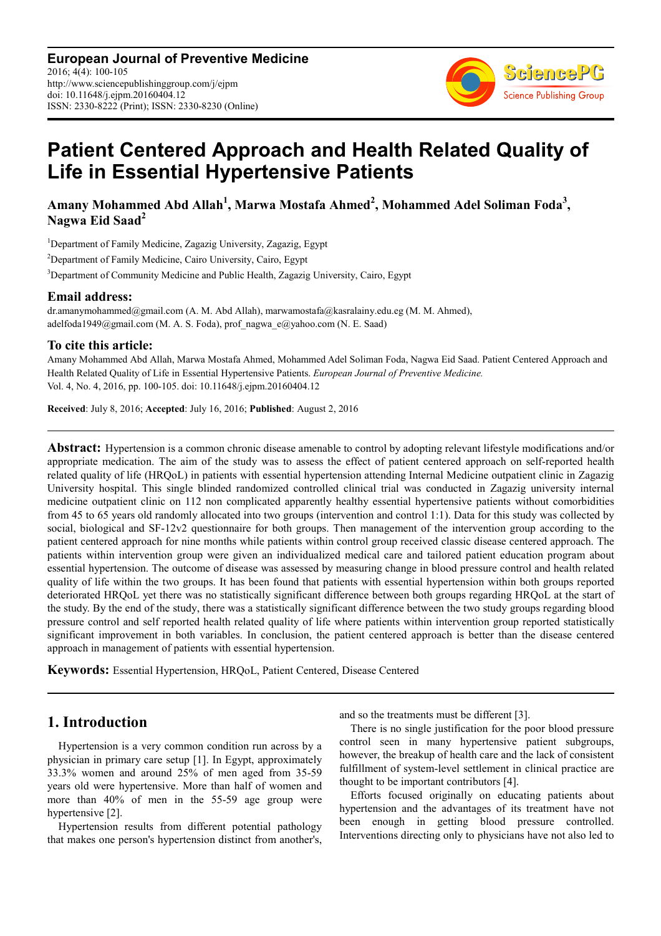**European Journal of Preventive Medicine** 2016; 4(4): 100-105 http://www.sciencepublishinggroup.com/j/ejpm doi: 10.11648/j.ejpm.20160404.12 ISSN: 2330-8222 (Print); ISSN: 2330-8230 (Online)



# **Patient Centered Approach and Health Related Quality of Life in Essential Hypertensive Patients**

**Amany Mohammed Abd Allah<sup>1</sup> , Marwa Mostafa Ahmed<sup>2</sup> , Mohammed Adel Soliman Foda<sup>3</sup> , Nagwa Eid Saad<sup>2</sup>**

<sup>1</sup>Department of Family Medicine, Zagazig University, Zagazig, Egypt <sup>2</sup>Department of Family Medicine, Cairo University, Cairo, Egypt <sup>3</sup>Department of Community Medicine and Public Health, Zagazig University, Cairo, Egypt

### **Email address:**

dr.amanymohammed@gmail.com (A. M. Abd Allah), marwamostafa@kasralainy.edu.eg (M. M. Ahmed), adelfoda1949@gmail.com (M. A. S. Foda), prof nagwa  $e@yahoo.com$  (N. E. Saad)

### **To cite this article:**

Amany Mohammed Abd Allah, Marwa Mostafa Ahmed, Mohammed Adel Soliman Foda, Nagwa Eid Saad. Patient Centered Approach and Health Related Quality of Life in Essential Hypertensive Patients. *European Journal of Preventive Medicine.*  Vol. 4, No. 4, 2016, pp. 100-105. doi: 10.11648/j.ejpm.20160404.12

**Received**: July 8, 2016; **Accepted**: July 16, 2016; **Published**: August 2, 2016

**Abstract:** Hypertension is a common chronic disease amenable to control by adopting relevant lifestyle modifications and/or appropriate medication. The aim of the study was to assess the effect of patient centered approach on self-reported health related quality of life (HRQoL) in patients with essential hypertension attending Internal Medicine outpatient clinic in Zagazig University hospital. This single blinded randomized controlled clinical trial was conducted in Zagazig university internal medicine outpatient clinic on 112 non complicated apparently healthy essential hypertensive patients without comorbidities from 45 to 65 years old randomly allocated into two groups (intervention and control 1:1). Data for this study was collected by social, biological and SF-12v2 questionnaire for both groups. Then management of the intervention group according to the patient centered approach for nine months while patients within control group received classic disease centered approach. The patients within intervention group were given an individualized medical care and tailored patient education program about essential hypertension. The outcome of disease was assessed by measuring change in blood pressure control and health related quality of life within the two groups. It has been found that patients with essential hypertension within both groups reported deteriorated HRQoL yet there was no statistically significant difference between both groups regarding HRQoL at the start of the study. By the end of the study, there was a statistically significant difference between the two study groups regarding blood pressure control and self reported health related quality of life where patients within intervention group reported statistically significant improvement in both variables. In conclusion, the patient centered approach is better than the disease centered approach in management of patients with essential hypertension.

**Keywords:** Essential Hypertension, HRQoL, Patient Centered, Disease Centered

# **1. Introduction**

Hypertension is a very common condition run across by a physician in primary care setup [1]. In Egypt, approximately 33.3% women and around 25% of men aged from 35-59 years old were hypertensive. More than half of women and more than 40% of men in the 55-59 age group were hypertensive [2].

Hypertension results from different potential pathology that makes one person's hypertension distinct from another's, and so the treatments must be different [3].

There is no single justification for the poor blood pressure control seen in many hypertensive patient subgroups, however, the breakup of health care and the lack of consistent fulfillment of system-level settlement in clinical practice are thought to be important contributors [4].

Efforts focused originally on educating patients about hypertension and the advantages of its treatment have not been enough in getting blood pressure controlled. Interventions directing only to physicians have not also led to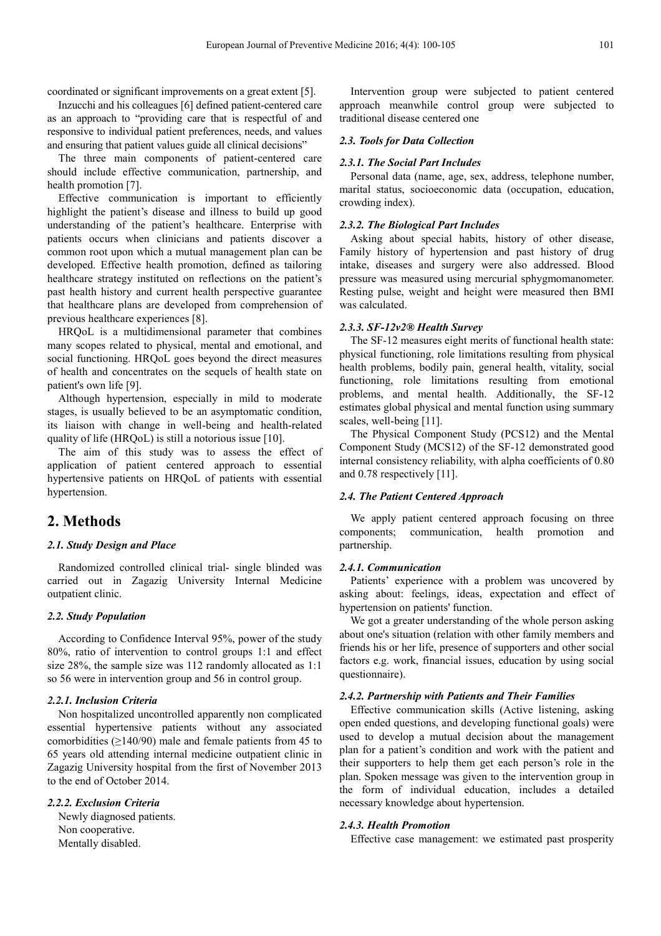coordinated or significant improvements on a great extent [5].

Inzucchi and his colleagues [6] defined patient-centered care as an approach to "providing care that is respectful of and responsive to individual patient preferences, needs, and values and ensuring that patient values guide all clinical decisions"

The three main components of patient-centered care should include effective communication, partnership, and health promotion [7].

Effective communication is important to efficiently highlight the patient's disease and illness to build up good understanding of the patient's healthcare. Enterprise with patients occurs when clinicians and patients discover a common root upon which a mutual management plan can be developed. Effective health promotion, defined as tailoring healthcare strategy instituted on reflections on the patient's past health history and current health perspective guarantee that healthcare plans are developed from comprehension of previous healthcare experiences [8].

HRQoL is a multidimensional parameter that combines many scopes related to physical, mental and emotional, and social functioning. HRQoL goes beyond the direct measures of health and concentrates on the sequels of health state on patient's own life [9].

Although hypertension, especially in mild to moderate stages, is usually believed to be an asymptomatic condition, its liaison with change in well-being and health-related quality of life (HRQoL) is still a notorious issue [10].

The aim of this study was to assess the effect of application of patient centered approach to essential hypertensive patients on HRQoL of patients with essential hypertension.

### **2. Methods**

#### *2.1. Study Design and Place*

Randomized controlled clinical trial- single blinded was carried out in Zagazig University Internal Medicine outpatient clinic.

#### *2.2. Study Population*

According to Confidence Interval 95%, power of the study 80%, ratio of intervention to control groups 1:1 and effect size 28%, the sample size was 112 randomly allocated as 1:1 so 56 were in intervention group and 56 in control group.

#### *2.2.1. Inclusion Criteria*

Non hospitalized uncontrolled apparently non complicated essential hypertensive patients without any associated comorbidities ( $\geq$ 140/90) male and female patients from 45 to 65 years old attending internal medicine outpatient clinic in Zagazig University hospital from the first of November 2013 to the end of October 2014.

#### *2.2.2. Exclusion Criteria*

Newly diagnosed patients. Non cooperative. Mentally disabled.

Intervention group were subjected to patient centered approach meanwhile control group were subjected to traditional disease centered one

#### *2.3. Tools for Data Collection*

#### *2.3.1. The Social Part Includes*

Personal data (name, age, sex, address, telephone number, marital status, socioeconomic data (occupation, education, crowding index).

#### *2.3.2. The Biological Part Includes*

Asking about special habits, history of other disease, Family history of hypertension and past history of drug intake, diseases and surgery were also addressed. Blood pressure was measured using mercurial sphygmomanometer. Resting pulse, weight and height were measured then BMI was calculated.

#### *2.3.3. SF-12v2® Health Survey*

The SF-12 measures eight merits of functional health state: physical functioning, role limitations resulting from physical health problems, bodily pain, general health, vitality, social functioning, role limitations resulting from emotional problems, and mental health. Additionally, the SF-12 estimates global physical and mental function using summary scales, well-being [11].

The Physical Component Study (PCS12) and the Mental Component Study (MCS12) of the SF-12 demonstrated good internal consistency reliability, with alpha coefficients of 0.80 and 0.78 respectively [11].

#### *2.4. The Patient Centered Approach*

We apply patient centered approach focusing on three components; communication, health promotion and partnership.

#### *2.4.1. Communication*

Patients' experience with a problem was uncovered by asking about: feelings, ideas, expectation and effect of hypertension on patients' function.

We got a greater understanding of the whole person asking about one's situation (relation with other family members and friends his or her life, presence of supporters and other social factors e.g. work, financial issues, education by using social questionnaire).

#### *2.4.2. Partnership with Patients and Their Families*

Effective communication skills (Active listening, asking open ended questions, and developing functional goals) were used to develop a mutual decision about the management plan for a patient's condition and work with the patient and their supporters to help them get each person's role in the plan. Spoken message was given to the intervention group in the form of individual education, includes a detailed necessary knowledge about hypertension.

#### *2.4.3. Health Promotion*

Effective case management: we estimated past prosperity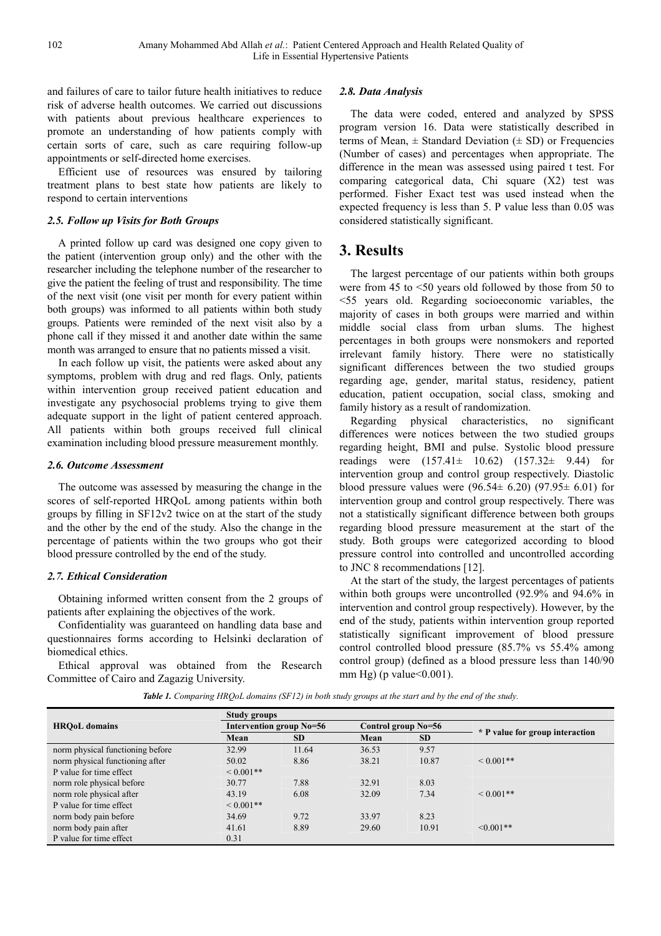and failures of care to tailor future health initiatives to reduce risk of adverse health outcomes. We carried out discussions with patients about previous healthcare experiences to promote an understanding of how patients comply with certain sorts of care, such as care requiring follow-up appointments or self-directed home exercises.

Efficient use of resources was ensured by tailoring treatment plans to best state how patients are likely to respond to certain interventions

#### *2.5. Follow up Visits for Both Groups*

A printed follow up card was designed one copy given to the patient (intervention group only) and the other with the researcher including the telephone number of the researcher to give the patient the feeling of trust and responsibility. The time of the next visit (one visit per month for every patient within both groups) was informed to all patients within both study groups. Patients were reminded of the next visit also by a phone call if they missed it and another date within the same month was arranged to ensure that no patients missed a visit.

In each follow up visit, the patients were asked about any symptoms, problem with drug and red flags. Only, patients within intervention group received patient education and investigate any psychosocial problems trying to give them adequate support in the light of patient centered approach. All patients within both groups received full clinical examination including blood pressure measurement monthly.

#### *2.6. Outcome Assessment*

The outcome was assessed by measuring the change in the scores of self-reported HRQoL among patients within both groups by filling in SF12v2 twice on at the start of the study and the other by the end of the study. Also the change in the percentage of patients within the two groups who got their blood pressure controlled by the end of the study.

#### *2.7. Ethical Consideration*

Obtaining informed written consent from the 2 groups of patients after explaining the objectives of the work.

Confidentiality was guaranteed on handling data base and questionnaires forms according to Helsinki declaration of biomedical ethics.

Ethical approval was obtained from the Research Committee of Cairo and Zagazig University.

#### *2.8. Data Analysis*

The data were coded, entered and analyzed by SPSS program version 16. Data were statistically described in terms of Mean,  $\pm$  Standard Deviation ( $\pm$  SD) or Frequencies (Number of cases) and percentages when appropriate. The difference in the mean was assessed using paired t test. For comparing categorical data, Chi square (X2) test was performed. Fisher Exact test was used instead when the expected frequency is less than 5. P value less than 0.05 was considered statistically significant.

## **3. Results**

The largest percentage of our patients within both groups were from 45 to <50 years old followed by those from 50 to <55 years old. Regarding socioeconomic variables, the majority of cases in both groups were married and within middle social class from urban slums. The highest percentages in both groups were nonsmokers and reported irrelevant family history. There were no statistically significant differences between the two studied groups regarding age, gender, marital status, residency, patient education, patient occupation, social class, smoking and family history as a result of randomization.

Regarding physical characteristics, no significant differences were notices between the two studied groups regarding height, BMI and pulse. Systolic blood pressure readings were (157.41± 10.62) (157.32± 9.44) for intervention group and control group respectively. Diastolic blood pressure values were  $(96.54 \pm 6.20)$   $(97.95 \pm 6.01)$  for intervention group and control group respectively. There was not a statistically significant difference between both groups regarding blood pressure measurement at the start of the study. Both groups were categorized according to blood pressure control into controlled and uncontrolled according to JNC 8 recommendations [12].

At the start of the study, the largest percentages of patients within both groups were uncontrolled (92.9% and 94.6% in intervention and control group respectively). However, by the end of the study, patients within intervention group reported statistically significant improvement of blood pressure control controlled blood pressure (85.7% vs 55.4% among control group) (defined as a blood pressure less than 140/90 mm Hg) (p value  $< 0.001$ ).

*Table 1. Comparing HRQoL domains (SF12) in both study groups at the start and by the end of the study.* 

|                                  | Study groups             |           |                     |           |                                 |  |  |
|----------------------------------|--------------------------|-----------|---------------------|-----------|---------------------------------|--|--|
| <b>HROoL</b> domains             | Intervention group No=56 |           | Control group No=56 |           |                                 |  |  |
|                                  | Mean                     | <b>SD</b> | Mean                | <b>SD</b> | * P value for group interaction |  |  |
| norm physical functioning before | 32.99                    | 11.64     | 36.53               | 9.57      |                                 |  |  |
| norm physical functioning after  | 50.02                    | 8.86      | 38.21               | 10.87     | $< 0.001**$                     |  |  |
| P value for time effect          | $< 0.001**$              |           |                     |           |                                 |  |  |
| norm role physical before        | 30.77                    | 7.88      | 32.91               | 8.03      |                                 |  |  |
| norm role physical after         | 43.19                    | 6.08      | 32.09               | 7.34      | $< 0.001$ **                    |  |  |
| P value for time effect          | $< 0.001**$              |           |                     |           |                                 |  |  |
| norm body pain before            | 34.69                    | 9.72      | 33.97               | 8.23      |                                 |  |  |
| norm body pain after             | 41.61                    | 8.89      | 29.60               | 10.91     | $\leq 0.001**$                  |  |  |
| P value for time effect          | 0.31                     |           |                     |           |                                 |  |  |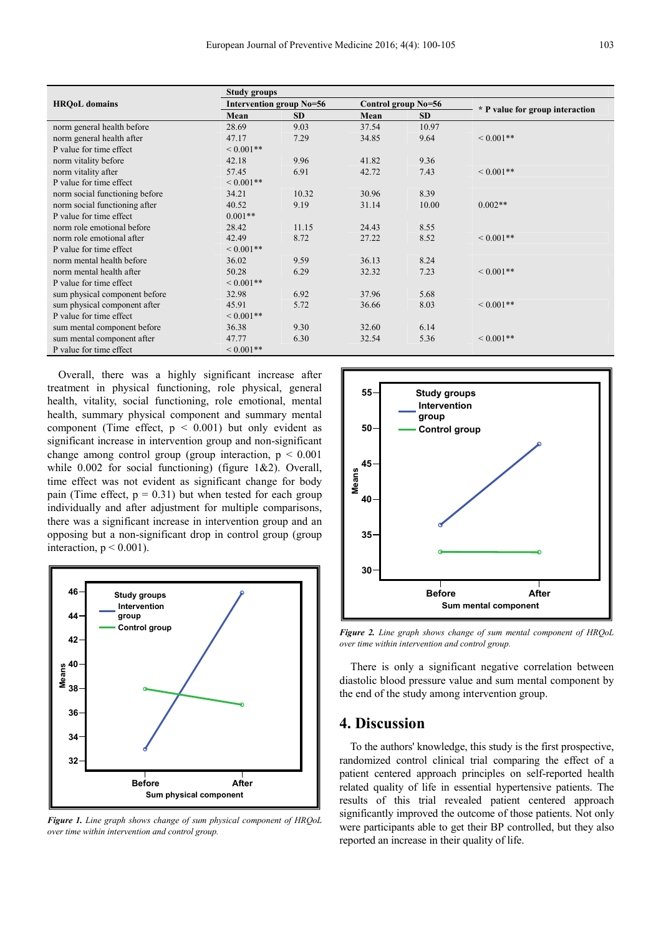|                                | <b>Study groups</b> |                          |       |                     |                                 |  |  |
|--------------------------------|---------------------|--------------------------|-------|---------------------|---------------------------------|--|--|
| <b>HRQoL</b> domains           |                     | Intervention group No=56 |       | Control group No=56 |                                 |  |  |
|                                | Mean                | <b>SD</b>                | Mean  | <b>SD</b>           | * P value for group interaction |  |  |
| norm general health before     | 28.69               | 9.03                     | 37.54 | 10.97               |                                 |  |  |
| norm general health after      | 47.17               | 7.29                     | 34.85 | 9.64                | ${}< 0.001**$                   |  |  |
| P value for time effect        | ${}< 0.001**$       |                          |       |                     |                                 |  |  |
| norm vitality before           | 42.18               | 9.96                     | 41.82 | 9.36                |                                 |  |  |
| norm vitality after            | 57.45               | 6.91                     | 42.72 | 7.43                | ${}< 0.001**$                   |  |  |
| P value for time effect        | $0.001**$           |                          |       |                     |                                 |  |  |
| norm social functioning before | 34.21               | 10.32                    | 30.96 | 8.39                |                                 |  |  |
| norm social functioning after  | 40.52               | 9.19                     | 31.14 | 10.00               | $0.002**$                       |  |  |
| P value for time effect        | $0.001**$           |                          |       |                     |                                 |  |  |
| norm role emotional before     | 28.42               | 11.15                    | 24.43 | 8.55                |                                 |  |  |
| norm role emotional after      | 42.49               | 8.72                     | 27.22 | 8.52                | ${}< 0.001**$                   |  |  |
| P value for time effect        | ${}< 0.001**$       |                          |       |                     |                                 |  |  |
| norm mental health before      | 36.02               | 9.59                     | 36.13 | 8.24                |                                 |  |  |
| norm mental health after       | 50.28               | 6.29                     | 32.32 | 7.23                | ${}< 0.001**$                   |  |  |
| P value for time effect        | $0.001**$           |                          |       |                     |                                 |  |  |
| sum physical component before  | 32.98               | 6.92                     | 37.96 | 5.68                |                                 |  |  |
| sum physical component after   | 45.91               | 5.72                     | 36.66 | 8.03                | ${}_{\leq 0.001**}$             |  |  |
| P value for time effect        | ${}< 0.001**$       |                          |       |                     |                                 |  |  |
| sum mental component before    | 36.38               | 9.30                     | 32.60 | 6.14                |                                 |  |  |
| sum mental component after     | 47.77               | 6.30                     | 32.54 | 5.36                | ${}_{\leq 0.001**}$             |  |  |
| P value for time effect        | ${}< 0.001**$       |                          |       |                     |                                 |  |  |

Overall, there was a highly significant increase after treatment in physical functioning, role physical, general health, vitality, social functioning, role emotional, mental health, summary physical component and summary mental component (Time effect,  $p < 0.001$ ) but only evident as significant increase in intervention group and non-significant change among control group (group interaction,  $p \leq 0.001$ ) while 0.002 for social functioning) (figure 1&2). Overall, time effect was not evident as significant change for body pain (Time effect,  $p = 0.31$ ) but when tested for each group individually and after adjustment for multiple comparisons, there was a significant increase in intervention group and an opposing but a non-significant drop in control group (group interaction,  $p < 0.001$ ).



*Figure 1. Line graph shows change of sum physical component of HRQoL over time within intervention and control group.*



*Figure 2. Line graph shows change of sum mental component of HRQoL over time within intervention and control group.*

There is only a significant negative correlation between diastolic blood pressure value and sum mental component by the end of the study among intervention group.

### **4. Discussion**

To the authors' knowledge, this study is the first prospective, randomized control clinical trial comparing the effect of a patient centered approach principles on self-reported health related quality of life in essential hypertensive patients. The results of this trial revealed patient centered approach significantly improved the outcome of those patients. Not only were participants able to get their BP controlled, but they also reported an increase in their quality of life.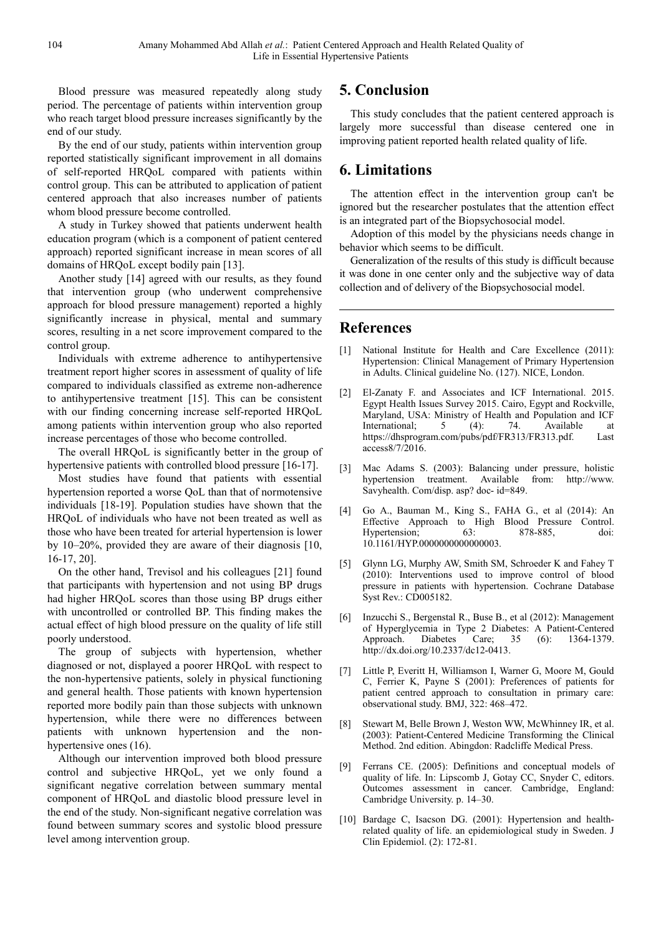Blood pressure was measured repeatedly along study period. The percentage of patients within intervention group who reach target blood pressure increases significantly by the end of our study.

By the end of our study, patients within intervention group reported statistically significant improvement in all domains of self-reported HRQoL compared with patients within control group. This can be attributed to application of patient centered approach that also increases number of patients whom blood pressure become controlled.

A study in Turkey showed that patients underwent health education program (which is a component of patient centered approach) reported significant increase in mean scores of all domains of HRQoL except bodily pain [13].

Another study [14] agreed with our results, as they found that intervention group (who underwent comprehensive approach for blood pressure management) reported a highly significantly increase in physical, mental and summary scores, resulting in a net score improvement compared to the control group.

Individuals with extreme adherence to antihypertensive treatment report higher scores in assessment of quality of life compared to individuals classified as extreme non-adherence to antihypertensive treatment [15]. This can be consistent with our finding concerning increase self-reported HRQoL among patients within intervention group who also reported increase percentages of those who become controlled.

The overall HRQoL is significantly better in the group of hypertensive patients with controlled blood pressure [16-17].

Most studies have found that patients with essential hypertension reported a worse QoL than that of normotensive individuals [18-19]. Population studies have shown that the HRQoL of individuals who have not been treated as well as those who have been treated for arterial hypertension is lower by 10–20%, provided they are aware of their diagnosis [10, 16-17, 20].

On the other hand, Trevisol and his colleagues [21] found that participants with hypertension and not using BP drugs had higher HRQoL scores than those using BP drugs either with uncontrolled or controlled BP. This finding makes the actual effect of high blood pressure on the quality of life still poorly understood.

The group of subjects with hypertension, whether diagnosed or not, displayed a poorer HRQoL with respect to the non-hypertensive patients, solely in physical functioning and general health. Those patients with known hypertension reported more bodily pain than those subjects with unknown hypertension, while there were no differences between patients with unknown hypertension and the nonhypertensive ones (16).

Although our intervention improved both blood pressure control and subjective HRQoL, yet we only found a significant negative correlation between summary mental component of HRQoL and diastolic blood pressure level in the end of the study. Non-significant negative correlation was found between summary scores and systolic blood pressure level among intervention group.

# **5. Conclusion**

This study concludes that the patient centered approach is largely more successful than disease centered one in improving patient reported health related quality of life.

# **6. Limitations**

The attention effect in the intervention group can't be ignored but the researcher postulates that the attention effect is an integrated part of the Biopsychosocial model.

Adoption of this model by the physicians needs change in behavior which seems to be difficult.

Generalization of the results of this study is difficult because it was done in one center only and the subjective way of data collection and of delivery of the Biopsychosocial model.

## **References**

- [1] National Institute for Health and Care Excellence (2011): Hypertension: Clinical Management of Primary Hypertension in Adults. Clinical guideline No. (127). NICE, London.
- [2] El-Zanaty F. and Associates and ICF International. 2015. Egypt Health Issues Survey 2015. Cairo, Egypt and Rockville, Maryland, USA: Ministry of Health and Population and ICF International; 5 (4): 74. Available at https://dhsprogram.com/pubs/pdf/FR313/FR313.pdf. Last access8/7/2016.
- [3] Mac Adams S. (2003): Balancing under pressure, holistic hypertension treatment. Available from: http://www. Savyhealth. Com/disp. asp? doc- id=849.
- [4] Go A., Bauman M., King S., FAHA G., et al (2014): An Effective Approach to High Blood Pressure Control. Hypertension; 63: 878-885, doi: 10.1161/HYP.0000000000000003.
- [5] Glynn LG, Murphy AW, Smith SM, Schroeder K and Fahey T (2010): Interventions used to improve control of blood pressure in patients with hypertension. Cochrane Database Syst Rev.: CD005182.
- [6] Inzucchi S., Bergenstal R., Buse B., et al (2012): Management of Hyperglycemia in Type 2 Diabetes: A Patient-Centered<br>Approach. Diabetes Care; 35 (6): 1364-1379. Approach. Diabetes Care; 35 (6): 1364-1379. http://dx.doi.org/10.2337/dc12-0413.
- [7] Little P, Everitt H, Williamson I, Warner G, Moore M, Gould C, Ferrier K, Payne S (2001): Preferences of patients for patient centred approach to consultation in primary care: observational study. BMJ, 322: 468–472.
- [8] Stewart M, Belle Brown J, Weston WW, McWhinney IR, et al. (2003): Patient-Centered Medicine Transforming the Clinical Method. 2nd edition. Abingdon: Radcliffe Medical Press.
- [9] Ferrans CE. (2005): Definitions and conceptual models of quality of life. In: Lipscomb J, Gotay CC, Snyder C, editors. Outcomes assessment in cancer. Cambridge, England: Cambridge University. p. 14–30.
- [10] Bardage C, Isacson DG. (2001): Hypertension and healthrelated quality of life. an epidemiological study in Sweden. J Clin Epidemiol. (2): 172-81.